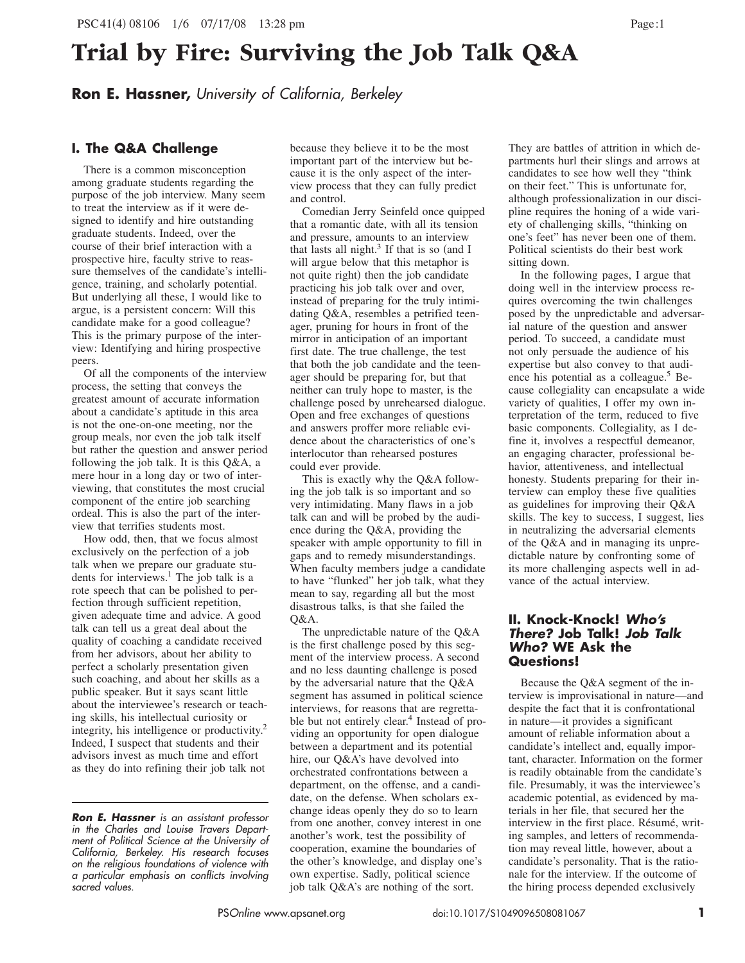**Ron E. Hassner,** *University of California, Berkeley*

## **I. The Q&A Challenge**

There is a common misconception among graduate students regarding the purpose of the job interview. Many seem to treat the interview as if it were designed to identify and hire outstanding graduate students. Indeed, over the course of their brief interaction with a prospective hire, faculty strive to reassure themselves of the candidate's intelligence, training, and scholarly potential. But underlying all these, I would like to argue, is a persistent concern: Will this candidate make for a good colleague? This is the primary purpose of the interview: Identifying and hiring prospective peers.

Of all the components of the interview process, the setting that conveys the greatest amount of accurate information about a candidate's aptitude in this area is not the one-on-one meeting, nor the group meals, nor even the job talk itself but rather the question and answer period following the job talk. It is this Q&A, a mere hour in a long day or two of interviewing, that constitutes the most crucial component of the entire job searching ordeal. This is also the part of the interview that terrifies students most.

How odd, then, that we focus almost exclusively on the perfection of a job talk when we prepare our graduate students for interviews.<sup>1</sup> The job talk is a rote speech that can be polished to perfection through sufficient repetition, given adequate time and advice. A good talk can tell us a great deal about the quality of coaching a candidate received from her advisors, about her ability to perfect a scholarly presentation given such coaching, and about her skills as a public speaker. But it says scant little about the interviewee's research or teaching skills, his intellectual curiosity or integrity, his intelligence or productivity.2 Indeed, I suspect that students and their advisors invest as much time and effort as they do into refining their job talk not

*Ron E. Hassner is an assistant professor in the Charles and Louise Travers Department of Political Science at the University of California, Berkeley. His research focuses on the religious foundations of violence with a particular emphasis on conflicts involving sacred values.*

because they believe it to be the most important part of the interview but because it is the only aspect of the interview process that they can fully predict and control.

Comedian Jerry Seinfeld once quipped that a romantic date, with all its tension and pressure, amounts to an interview that lasts all night.<sup>3</sup> If that is so (and I will argue below that this metaphor is not quite right) then the job candidate practicing his job talk over and over, instead of preparing for the truly intimidating Q&A, resembles a petrified teenager, pruning for hours in front of the mirror in anticipation of an important first date. The true challenge, the test that both the job candidate and the teenager should be preparing for, but that neither can truly hope to master, is the challenge posed by unrehearsed dialogue. Open and free exchanges of questions and answers proffer more reliable evidence about the characteristics of one's interlocutor than rehearsed postures could ever provide.

This is exactly why the Q&A following the job talk is so important and so very intimidating. Many flaws in a job talk can and will be probed by the audience during the Q&A, providing the speaker with ample opportunity to fill in gaps and to remedy misunderstandings. When faculty members judge a candidate to have "flunked" her job talk, what they mean to say, regarding all but the most disastrous talks, is that she failed the Q&A.

The unpredictable nature of the Q&A is the first challenge posed by this segment of the interview process. A second and no less daunting challenge is posed by the adversarial nature that the Q&A segment has assumed in political science interviews, for reasons that are regrettable but not entirely clear.<sup>4</sup> Instead of providing an opportunity for open dialogue between a department and its potential hire, our Q&A's have devolved into orchestrated confrontations between a department, on the offense, and a candidate, on the defense. When scholars exchange ideas openly they do so to learn from one another, convey interest in one another's work, test the possibility of cooperation, examine the boundaries of the other's knowledge, and display one's own expertise. Sadly, political science job talk Q&A's are nothing of the sort.

They are battles of attrition in which departments hurl their slings and arrows at candidates to see how well they "think on their feet." This is unfortunate for, although professionalization in our discipline requires the honing of a wide variety of challenging skills, "thinking on one's feet" has never been one of them. Political scientists do their best work sitting down.

In the following pages, I argue that doing well in the interview process requires overcoming the twin challenges posed by the unpredictable and adversarial nature of the question and answer period. To succeed, a candidate must not only persuade the audience of his expertise but also convey to that audience his potential as a colleague.<sup>5</sup> Because collegiality can encapsulate a wide variety of qualities, I offer my own interpretation of the term, reduced to five basic components. Collegiality, as I define it, involves a respectful demeanor, an engaging character, professional behavior, attentiveness, and intellectual honesty. Students preparing for their interview can employ these five qualities as guidelines for improving their Q&A skills. The key to success, I suggest, lies in neutralizing the adversarial elements of the Q&A and in managing its unpredictable nature by confronting some of its more challenging aspects well in advance of the actual interview.

### **II. Knock-Knock!** *Who's There?* **Job Talk!** *Job Talk Who?* **WE Ask the Questions!**

Because the Q&A segment of the interview is improvisational in nature—and despite the fact that it is confrontational in nature—it provides a significant amount of reliable information about a candidate's intellect and, equally important, character. Information on the former is readily obtainable from the candidate's file. Presumably, it was the interviewee's academic potential, as evidenced by materials in her file, that secured her the interview in the first place. Résumé, writing samples, and letters of recommendation may reveal little, however, about a candidate's personality. That is the rationale for the interview. If the outcome of the hiring process depended exclusively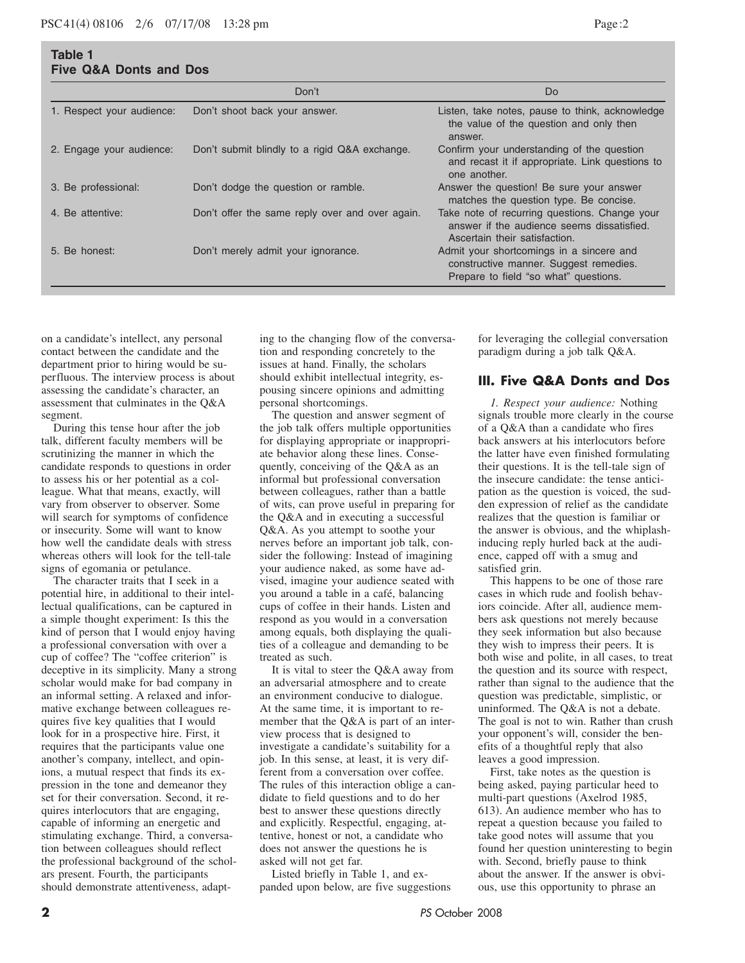**Table 1**

|                           | Don't                                           | D <sub>o</sub>                                                                                                               |
|---------------------------|-------------------------------------------------|------------------------------------------------------------------------------------------------------------------------------|
| 1. Respect your audience: | Don't shoot back your answer.                   | Listen, take notes, pause to think, acknowledge<br>the value of the question and only then<br>answer.                        |
| 2. Engage your audience:  | Don't submit blindly to a rigid Q&A exchange.   | Confirm your understanding of the question<br>and recast it if appropriate. Link questions to<br>one another.                |
| 3. Be professional:       | Don't dodge the question or ramble.             | Answer the question! Be sure your answer<br>matches the question type. Be concise.                                           |
| 4. Be attentive:          | Don't offer the same reply over and over again. | Take note of recurring questions. Change your<br>answer if the audience seems dissatisfied.<br>Ascertain their satisfaction. |
| 5. Be honest:             | Don't merely admit your ignorance.              | Admit your shortcomings in a sincere and<br>constructive manner. Suggest remedies.<br>Prepare to field "so what" questions.  |

on a candidate's intellect, any personal contact between the candidate and the department prior to hiring would be superfluous. The interview process is about assessing the candidate's character, an assessment that culminates in the Q&A segment.

During this tense hour after the job talk, different faculty members will be scrutinizing the manner in which the candidate responds to questions in order to assess his or her potential as a colleague. What that means, exactly, will vary from observer to observer. Some will search for symptoms of confidence or insecurity. Some will want to know how well the candidate deals with stress whereas others will look for the tell-tale signs of egomania or petulance.

The character traits that I seek in a potential hire, in additional to their intellectual qualifications, can be captured in a simple thought experiment: Is this the kind of person that I would enjoy having a professional conversation with over a cup of coffee? The "coffee criterion" is deceptive in its simplicity. Many a strong scholar would make for bad company in an informal setting. A relaxed and informative exchange between colleagues requires five key qualities that I would look for in a prospective hire. First, it requires that the participants value one another's company, intellect, and opinions, a mutual respect that finds its expression in the tone and demeanor they set for their conversation. Second, it requires interlocutors that are engaging, capable of informing an energetic and stimulating exchange. Third, a conversation between colleagues should reflect the professional background of the scholars present. Fourth, the participants should demonstrate attentiveness, adapt-

ing to the changing flow of the conversation and responding concretely to the issues at hand. Finally, the scholars should exhibit intellectual integrity, espousing sincere opinions and admitting personal shortcomings.

The question and answer segment of the job talk offers multiple opportunities for displaying appropriate or inappropriate behavior along these lines. Consequently, conceiving of the Q&A as an informal but professional conversation between colleagues, rather than a battle of wits, can prove useful in preparing for the Q&A and in executing a successful Q&A. As you attempt to soothe your nerves before an important job talk, consider the following: Instead of imagining your audience naked, as some have advised, imagine your audience seated with you around a table in a café, balancing cups of coffee in their hands. Listen and respond as you would in a conversation among equals, both displaying the qualities of a colleague and demanding to be treated as such.

It is vital to steer the Q&A away from an adversarial atmosphere and to create an environment conducive to dialogue. At the same time, it is important to remember that the Q&A is part of an interview process that is designed to investigate a candidate's suitability for a job. In this sense, at least, it is very different from a conversation over coffee. The rules of this interaction oblige a candidate to field questions and to do her best to answer these questions directly and explicitly. Respectful, engaging, attentive, honest or not, a candidate who does not answer the questions he is asked will not get far.

Listed briefly in Table 1, and expanded upon below, are five suggestions

for leveraging the collegial conversation paradigm during a job talk Q&A.

#### **III. Five Q&A Donts and Dos**

*1. Respect your audience:* Nothing signals trouble more clearly in the course of a Q&A than a candidate who fires back answers at his interlocutors before the latter have even finished formulating their questions. It is the tell-tale sign of the insecure candidate: the tense anticipation as the question is voiced, the sudden expression of relief as the candidate realizes that the question is familiar or the answer is obvious, and the whiplashinducing reply hurled back at the audience, capped off with a smug and satisfied grin.

This happens to be one of those rare cases in which rude and foolish behaviors coincide. After all, audience members ask questions not merely because they seek information but also because they wish to impress their peers. It is both wise and polite, in all cases, to treat the question and its source with respect, rather than signal to the audience that the question was predictable, simplistic, or uninformed. The Q&A is not a debate. The goal is not to win. Rather than crush your opponent's will, consider the benefits of a thoughtful reply that also leaves a good impression.

First, take notes as the question is being asked, paying particular heed to multi-part questions (Axelrod 1985, 613). An audience member who has to repeat a question because you failed to take good notes will assume that you found her question uninteresting to begin with. Second, briefly pause to think about the answer. If the answer is obvious, use this opportunity to phrase an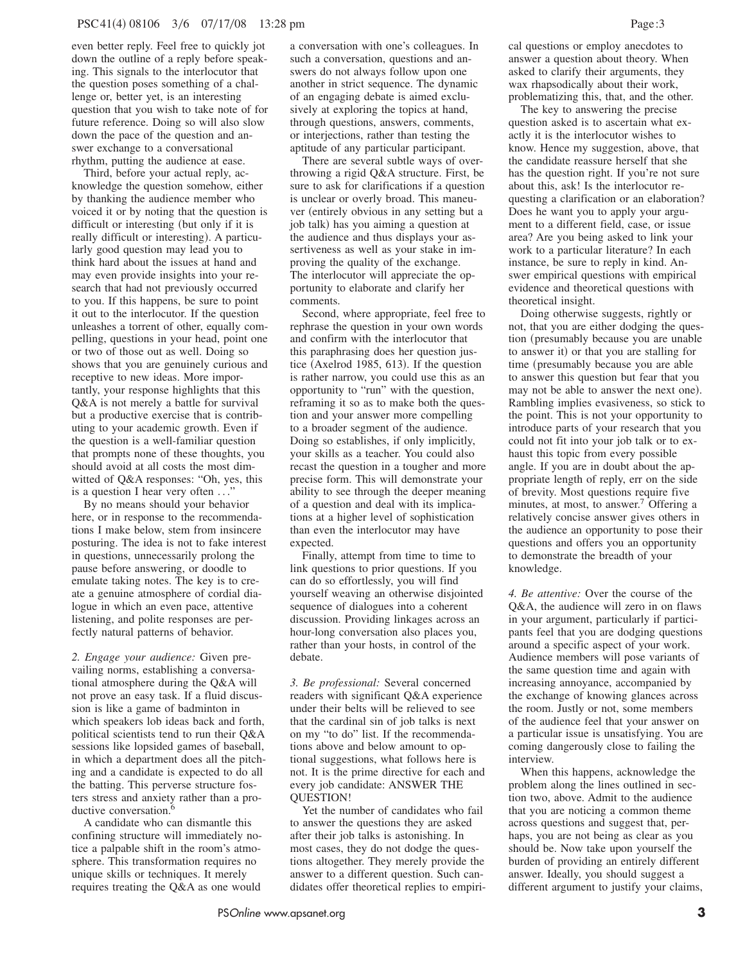even better reply. Feel free to quickly jot down the outline of a reply before speaking. This signals to the interlocutor that the question poses something of a challenge or, better yet, is an interesting question that you wish to take note of for future reference. Doing so will also slow down the pace of the question and answer exchange to a conversational rhythm, putting the audience at ease.

Third, before your actual reply, acknowledge the question somehow, either by thanking the audience member who voiced it or by noting that the question is difficult or interesting (but only if it is really difficult or interesting). A particularly good question may lead you to think hard about the issues at hand and may even provide insights into your research that had not previously occurred to you. If this happens, be sure to point it out to the interlocutor. If the question unleashes a torrent of other, equally compelling, questions in your head, point one or two of those out as well. Doing so shows that you are genuinely curious and receptive to new ideas. More importantly, your response highlights that this Q&A is not merely a battle for survival but a productive exercise that is contributing to your academic growth. Even if the question is a well-familiar question that prompts none of these thoughts, you should avoid at all costs the most dimwitted of Q&A responses: "Oh, yes, this is a question I hear very often  $\dots$ 

By no means should your behavior here, or in response to the recommendations I make below, stem from insincere posturing. The idea is not to fake interest in questions, unnecessarily prolong the pause before answering, or doodle to emulate taking notes. The key is to create a genuine atmosphere of cordial dialogue in which an even pace, attentive listening, and polite responses are perfectly natural patterns of behavior.

*2. Engage your audience:* Given prevailing norms, establishing a conversational atmosphere during the Q&A will not prove an easy task. If a fluid discussion is like a game of badminton in which speakers lob ideas back and forth, political scientists tend to run their Q&A sessions like lopsided games of baseball, in which a department does all the pitching and a candidate is expected to do all the batting. This perverse structure fosters stress and anxiety rather than a productive conversation.<sup>6</sup>

A candidate who can dismantle this confining structure will immediately notice a palpable shift in the room's atmosphere. This transformation requires no unique skills or techniques. It merely requires treating the Q&A as one would

a conversation with one's colleagues. In such a conversation, questions and answers do not always follow upon one another in strict sequence. The dynamic of an engaging debate is aimed exclusively at exploring the topics at hand, through questions, answers, comments, or interjections, rather than testing the aptitude of any particular participant.

There are several subtle ways of overthrowing a rigid Q&A structure. First, be sure to ask for clarifications if a question is unclear or overly broad. This maneuver (entirely obvious in any setting but a job talk) has you aiming a question at the audience and thus displays your assertiveness as well as your stake in improving the quality of the exchange. The interlocutor will appreciate the opportunity to elaborate and clarify her comments.

Second, where appropriate, feel free to rephrase the question in your own words and confirm with the interlocutor that this paraphrasing does her question justice (Axelrod 1985, 613). If the question is rather narrow, you could use this as an opportunity to "run" with the question, reframing it so as to make both the question and your answer more compelling to a broader segment of the audience. Doing so establishes, if only implicitly, your skills as a teacher. You could also recast the question in a tougher and more precise form. This will demonstrate your ability to see through the deeper meaning of a question and deal with its implications at a higher level of sophistication than even the interlocutor may have expected.

Finally, attempt from time to time to link questions to prior questions. If you can do so effortlessly, you will find yourself weaving an otherwise disjointed sequence of dialogues into a coherent discussion. Providing linkages across an hour-long conversation also places you, rather than your hosts, in control of the debate.

*3. Be professional:* Several concerned readers with significant Q&A experience under their belts will be relieved to see that the cardinal sin of job talks is next on my "to do" list. If the recommendations above and below amount to optional suggestions, what follows here is not. It is the prime directive for each and every job candidate: ANSWER THE QUESTION!

Yet the number of candidates who fail to answer the questions they are asked after their job talks is astonishing. In most cases, they do not dodge the questions altogether. They merely provide the answer to a different question. Such candidates offer theoretical replies to empirical questions or employ anecdotes to answer a question about theory. When asked to clarify their arguments, they wax rhapsodically about their work, problematizing this, that, and the other.

The key to answering the precise question asked is to ascertain what exactly it is the interlocutor wishes to know. Hence my suggestion, above, that the candidate reassure herself that she has the question right. If you're not sure about this, ask! Is the interlocutor requesting a clarification or an elaboration? Does he want you to apply your argument to a different field, case, or issue area? Are you being asked to link your work to a particular literature? In each instance, be sure to reply in kind. Answer empirical questions with empirical evidence and theoretical questions with theoretical insight.

Doing otherwise suggests, rightly or not, that you are either dodging the question (presumably because you are unable to answer it) or that you are stalling for time (presumably because you are able to answer this question but fear that you may not be able to answer the next one). Rambling implies evasiveness, so stick to the point. This is not your opportunity to introduce parts of your research that you could not fit into your job talk or to exhaust this topic from every possible angle. If you are in doubt about the appropriate length of reply, err on the side of brevity. Most questions require five minutes, at most, to answer.<sup>7</sup> Offering a relatively concise answer gives others in the audience an opportunity to pose their questions and offers you an opportunity to demonstrate the breadth of your knowledge.

*4. Be attentive:* Over the course of the Q&A, the audience will zero in on flaws in your argument, particularly if participants feel that you are dodging questions around a specific aspect of your work. Audience members will pose variants of the same question time and again with increasing annoyance, accompanied by the exchange of knowing glances across the room. Justly or not, some members of the audience feel that your answer on a particular issue is unsatisfying. You are coming dangerously close to failing the interview.

When this happens, acknowledge the problem along the lines outlined in section two, above. Admit to the audience that you are noticing a common theme across questions and suggest that, perhaps, you are not being as clear as you should be. Now take upon yourself the burden of providing an entirely different answer. Ideally, you should suggest a different argument to justify your claims,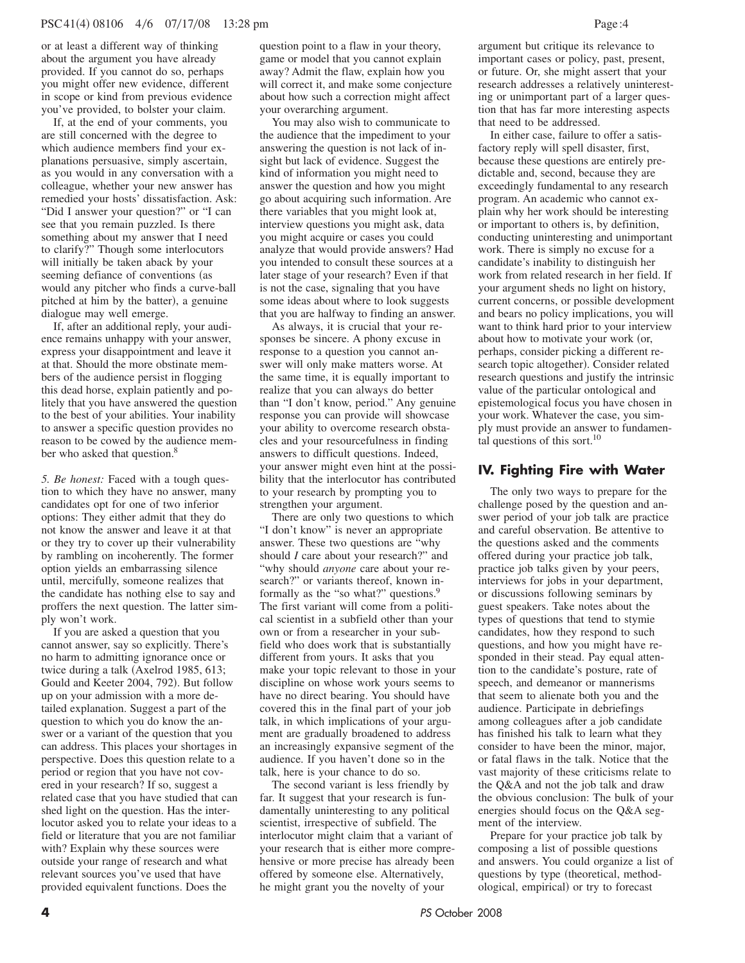or at least a different way of thinking about the argument you have already provided. If you cannot do so, perhaps you might offer new evidence, different in scope or kind from previous evidence you've provided, to bolster your claim.

If, at the end of your comments, you are still concerned with the degree to which audience members find your explanations persuasive, simply ascertain, as you would in any conversation with a colleague, whether your new answer has remedied your hosts' dissatisfaction. Ask: "Did I answer your question?" or "I can see that you remain puzzled. Is there something about my answer that I need to clarify?" Though some interlocutors will initially be taken aback by your seeming defiance of conventions (as would any pitcher who finds a curve-ball pitched at him by the batter), a genuine dialogue may well emerge.

If, after an additional reply, your audience remains unhappy with your answer, express your disappointment and leave it at that. Should the more obstinate members of the audience persist in flogging this dead horse, explain patiently and politely that you have answered the question to the best of your abilities. Your inability to answer a specific question provides no reason to be cowed by the audience member who asked that question.<sup>8</sup>

*5. Be honest:* Faced with a tough question to which they have no answer, many candidates opt for one of two inferior options: They either admit that they do not know the answer and leave it at that or they try to cover up their vulnerability by rambling on incoherently. The former option yields an embarrassing silence until, mercifully, someone realizes that the candidate has nothing else to say and proffers the next question. The latter simply won't work.

If you are asked a question that you cannot answer, say so explicitly. There's no harm to admitting ignorance once or twice during a talk  $(Axelrod 1985, 613;$ Gould and Keeter 2004, 792). But follow up on your admission with a more detailed explanation. Suggest a part of the question to which you do know the answer or a variant of the question that you can address. This places your shortages in perspective. Does this question relate to a period or region that you have not covered in your research? If so, suggest a related case that you have studied that can shed light on the question. Has the interlocutor asked you to relate your ideas to a field or literature that you are not familiar with? Explain why these sources were outside your range of research and what relevant sources you've used that have provided equivalent functions. Does the

question point to a flaw in your theory, game or model that you cannot explain away? Admit the flaw, explain how you will correct it, and make some conjecture about how such a correction might affect your overarching argument.

You may also wish to communicate to the audience that the impediment to your answering the question is not lack of insight but lack of evidence. Suggest the kind of information you might need to answer the question and how you might go about acquiring such information. Are there variables that you might look at, interview questions you might ask, data you might acquire or cases you could analyze that would provide answers? Had you intended to consult these sources at a later stage of your research? Even if that is not the case, signaling that you have some ideas about where to look suggests that you are halfway to finding an answer.

As always, it is crucial that your responses be sincere. A phony excuse in response to a question you cannot answer will only make matters worse. At the same time, it is equally important to realize that you can always do better than "I don't know, period." Any genuine response you can provide will showcase your ability to overcome research obstacles and your resourcefulness in finding answers to difficult questions. Indeed, your answer might even hint at the possibility that the interlocutor has contributed to your research by prompting you to strengthen your argument.

There are only two questions to which "I don't know" is never an appropriate answer. These two questions are "why should *I* care about your research?" and "why should *anyone* care about your research?" or variants thereof, known informally as the "so what?" questions.<sup>9</sup> The first variant will come from a political scientist in a subfield other than your own or from a researcher in your subfield who does work that is substantially different from yours. It asks that you make your topic relevant to those in your discipline on whose work yours seems to have no direct bearing. You should have covered this in the final part of your job talk, in which implications of your argument are gradually broadened to address an increasingly expansive segment of the audience. If you haven't done so in the talk, here is your chance to do so.

The second variant is less friendly by far. It suggest that your research is fundamentally uninteresting to any political scientist, irrespective of subfield. The interlocutor might claim that a variant of your research that is either more comprehensive or more precise has already been offered by someone else. Alternatively, he might grant you the novelty of your

argument but critique its relevance to important cases or policy, past, present, or future. Or, she might assert that your research addresses a relatively uninteresting or unimportant part of a larger question that has far more interesting aspects that need to be addressed.

In either case, failure to offer a satisfactory reply will spell disaster, first, because these questions are entirely predictable and, second, because they are exceedingly fundamental to any research program. An academic who cannot explain why her work should be interesting or important to others is, by definition, conducting uninteresting and unimportant work. There is simply no excuse for a candidate's inability to distinguish her work from related research in her field. If your argument sheds no light on history, current concerns, or possible development and bears no policy implications, you will want to think hard prior to your interview about how to motivate your work (or, perhaps, consider picking a different research topic altogether). Consider related research questions and justify the intrinsic value of the particular ontological and epistemological focus you have chosen in your work. Whatever the case, you simply must provide an answer to fundamental questions of this sort.<sup>10</sup>

# **IV. Fighting Fire with Water**

The only two ways to prepare for the challenge posed by the question and answer period of your job talk are practice and careful observation. Be attentive to the questions asked and the comments offered during your practice job talk, practice job talks given by your peers, interviews for jobs in your department, or discussions following seminars by guest speakers. Take notes about the types of questions that tend to stymie candidates, how they respond to such questions, and how you might have responded in their stead. Pay equal attention to the candidate's posture, rate of speech, and demeanor or mannerisms that seem to alienate both you and the audience. Participate in debriefings among colleagues after a job candidate has finished his talk to learn what they consider to have been the minor, major, or fatal flaws in the talk. Notice that the vast majority of these criticisms relate to the Q&A and not the job talk and draw the obvious conclusion: The bulk of your energies should focus on the Q&A segment of the interview.

Prepare for your practice job talk by composing a list of possible questions and answers. You could organize a list of questions by type (theoretical, methodological, empirical) or try to forecast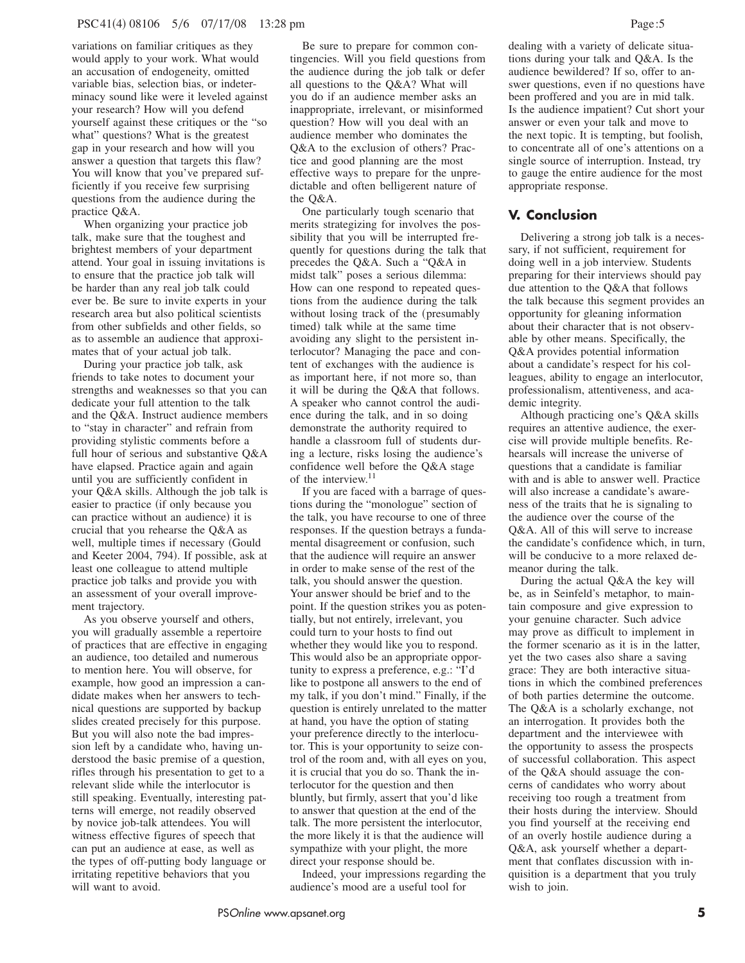variations on familiar critiques as they would apply to your work. What would an accusation of endogeneity, omitted variable bias, selection bias, or indeterminacy sound like were it leveled against your research? How will you defend yourself against these critiques or the "so what" questions? What is the greatest gap in your research and how will you answer a question that targets this flaw? You will know that you've prepared sufficiently if you receive few surprising questions from the audience during the practice Q&A.

When organizing your practice job talk, make sure that the toughest and brightest members of your department attend. Your goal in issuing invitations is to ensure that the practice job talk will be harder than any real job talk could ever be. Be sure to invite experts in your research area but also political scientists from other subfields and other fields, so as to assemble an audience that approximates that of your actual job talk.

During your practice job talk, ask friends to take notes to document your strengths and weaknesses so that you can dedicate your full attention to the talk and the Q&A. Instruct audience members to "stay in character" and refrain from providing stylistic comments before a full hour of serious and substantive Q&A have elapsed. Practice again and again until you are sufficiently confident in your Q&A skills. Although the job talk is easier to practice (if only because you can practice without an audience) it is crucial that you rehearse the Q&A as well, multiple times if necessary (Gould and Keeter 2004, 794). If possible, ask at least one colleague to attend multiple practice job talks and provide you with an assessment of your overall improvement trajectory.

As you observe yourself and others, you will gradually assemble a repertoire of practices that are effective in engaging an audience, too detailed and numerous to mention here. You will observe, for example, how good an impression a candidate makes when her answers to technical questions are supported by backup slides created precisely for this purpose. But you will also note the bad impression left by a candidate who, having understood the basic premise of a question, rifles through his presentation to get to a relevant slide while the interlocutor is still speaking. Eventually, interesting patterns will emerge, not readily observed by novice job-talk attendees. You will witness effective figures of speech that can put an audience at ease, as well as the types of off-putting body language or irritating repetitive behaviors that you will want to avoid.

Be sure to prepare for common contingencies. Will you field questions from the audience during the job talk or defer all questions to the Q&A? What will you do if an audience member asks an inappropriate, irrelevant, or misinformed question? How will you deal with an audience member who dominates the Q&A to the exclusion of others? Practice and good planning are the most effective ways to prepare for the unpredictable and often belligerent nature of the Q&A.

One particularly tough scenario that merits strategizing for involves the possibility that you will be interrupted frequently for questions during the talk that precedes the Q&A. Such a "Q&A in midst talk" poses a serious dilemma: How can one respond to repeated questions from the audience during the talk without losing track of the (presumably timed) talk while at the same time avoiding any slight to the persistent interlocutor? Managing the pace and content of exchanges with the audience is as important here, if not more so, than it will be during the Q&A that follows. A speaker who cannot control the audience during the talk, and in so doing demonstrate the authority required to handle a classroom full of students during a lecture, risks losing the audience's confidence well before the Q&A stage of the interview.<sup>11</sup>

If you are faced with a barrage of questions during the "monologue" section of the talk, you have recourse to one of three responses. If the question betrays a fundamental disagreement or confusion, such that the audience will require an answer in order to make sense of the rest of the talk, you should answer the question. Your answer should be brief and to the point. If the question strikes you as potentially, but not entirely, irrelevant, you could turn to your hosts to find out whether they would like you to respond. This would also be an appropriate opportunity to express a preference, e.g.: "I'd like to postpone all answers to the end of my talk, if you don't mind." Finally, if the question is entirely unrelated to the matter at hand, you have the option of stating your preference directly to the interlocutor. This is your opportunity to seize control of the room and, with all eyes on you, it is crucial that you do so. Thank the interlocutor for the question and then bluntly, but firmly, assert that you'd like to answer that question at the end of the talk. The more persistent the interlocutor, the more likely it is that the audience will sympathize with your plight, the more direct your response should be.

Indeed, your impressions regarding the audience's mood are a useful tool for

dealing with a variety of delicate situations during your talk and Q&A. Is the audience bewildered? If so, offer to answer questions, even if no questions have been proffered and you are in mid talk. Is the audience impatient? Cut short your answer or even your talk and move to the next topic. It is tempting, but foolish, to concentrate all of one's attentions on a single source of interruption. Instead, try to gauge the entire audience for the most appropriate response.

## **V. Conclusion**

Delivering a strong job talk is a necessary, if not sufficient, requirement for doing well in a job interview. Students preparing for their interviews should pay due attention to the Q&A that follows the talk because this segment provides an opportunity for gleaning information about their character that is not observable by other means. Specifically, the Q&A provides potential information about a candidate's respect for his colleagues, ability to engage an interlocutor, professionalism, attentiveness, and academic integrity.

Although practicing one's Q&A skills requires an attentive audience, the exercise will provide multiple benefits. Rehearsals will increase the universe of questions that a candidate is familiar with and is able to answer well. Practice will also increase a candidate's awareness of the traits that he is signaling to the audience over the course of the Q&A. All of this will serve to increase the candidate's confidence which, in turn, will be conducive to a more relaxed demeanor during the talk.

During the actual Q&A the key will be, as in Seinfeld's metaphor, to maintain composure and give expression to your genuine character. Such advice may prove as difficult to implement in the former scenario as it is in the latter, yet the two cases also share a saving grace: They are both interactive situations in which the combined preferences of both parties determine the outcome. The Q&A is a scholarly exchange, not an interrogation. It provides both the department and the interviewee with the opportunity to assess the prospects of successful collaboration. This aspect of the Q&A should assuage the concerns of candidates who worry about receiving too rough a treatment from their hosts during the interview. Should you find yourself at the receiving end of an overly hostile audience during a Q&A, ask yourself whether a department that conflates discussion with inquisition is a department that you truly wish to join.